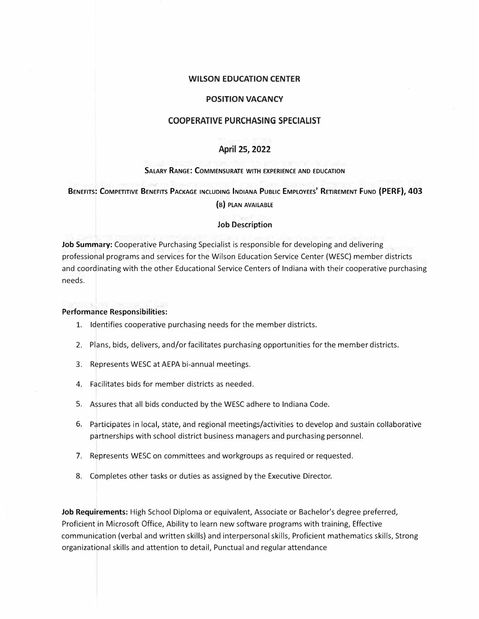### **WILSON EDUCATION CENTER**

# **POSITION VACANCY**

# **COOPERATIVE PURCHASING SPECIALIST**

# **April 25, 2022**

#### **SALARY RANGE: COMMENSURATE WITH EXPERIENCE AND EDUCATION**

**BENEFITS: COMPETITIVE BENEFITS PACKAGE INCLUDING INDIANA PUBLIC EMPLOYEES' RETIREMENT FUND (PERF), 403**

**(B) PLAN AVAILABLE**

### **Job Description**

**Job Summary:** Cooperative Purchasing Specialist is responsible for developing and delivering professional programs and services for the Wilson Education Service Center (WESC) member districts and coordinating with the other Educational Service Centers of Indiana with their cooperative purchasing needs.

#### **Performance Responsibilities:**

- 1. Identifies cooperative purchasing needs for the member districts.
- 2. Plans, bids, delivers, and/or facilitates purchasing opportunities for the member districts.
- 3. Represents WESC at AEPA bi-annual meetings.
- 4. Facilitates bids for member districts as needed.
- 5. Assures that all bids conducted by the WESC adhere to Indiana Code.
- 6. Participates in local, state, and regional meetings/activities to develop and sustain collaborative partnerships with school district business managers and purchasing personnel.
- 7. Represents WESC on committees and workgroups as required or requested.
- 8. Completes other tasks or duties as assigned by the Executive Director.

**Job Requirements:** High School Diploma or equivalent, Associate or Bachelor's degree preferred, Proficient in Microsoft Office, Ability to learn new software programs with training, Effective communication (verbal and written skills) and interpersonal skills, Proficient mathematics skills, Strong organizational skills and attention to detail, Punctual and regular attendance